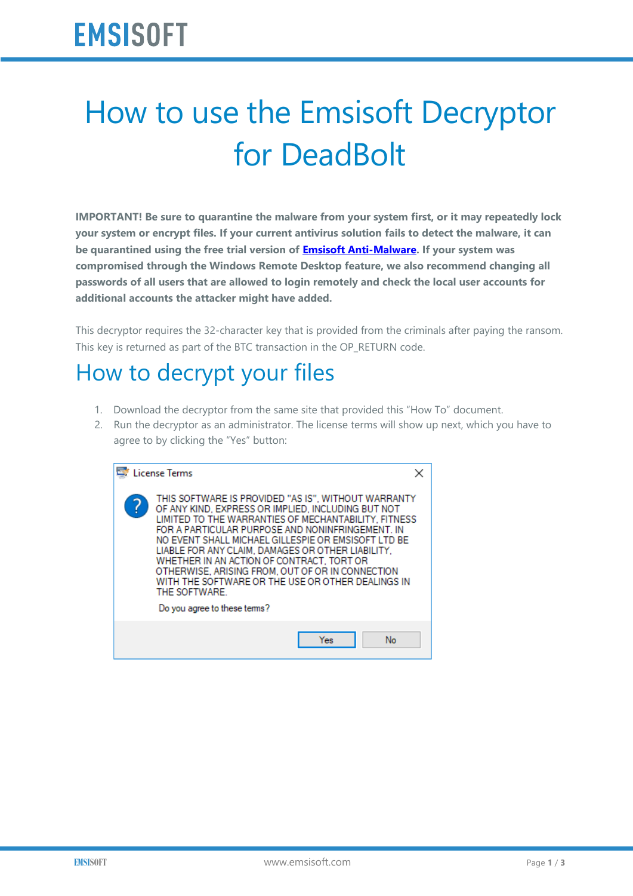## How to use the Emsisoft Decryptor for DeadBolt

**IMPORTANT! Be sure to quarantine the malware from your system first, or it may repeatedly lock your system or encrypt files. If your current antivirus solution fails to detect the malware, it can be quarantined using the free trial version of [Emsisoft Anti-Malware.](https://www.emsisoft.com/?ref=decryptor_DeadBolt) If your system was compromised through the Windows Remote Desktop feature, we also recommend changing all passwords of all users that are allowed to login remotely and check the local user accounts for additional accounts the attacker might have added.**

This decryptor requires the 32-character key that is provided from the criminals after paying the ransom. This key is returned as part of the BTC transaction in the OP\_RETURN code.

## How to decrypt your files

- 1. Download the decryptor from the same site that provided this "How To" document.
- 2. Run the decryptor as an administrator. The license terms will show up next, which you have to agree to by clicking the "Yes" button:

| <b>License Terms</b> |                                                                                                                                                                                                                                                                                                                                                                                                                                                                                                                                          |  |
|----------------------|------------------------------------------------------------------------------------------------------------------------------------------------------------------------------------------------------------------------------------------------------------------------------------------------------------------------------------------------------------------------------------------------------------------------------------------------------------------------------------------------------------------------------------------|--|
|                      | THIS SOFTWARE IS PROVIDED "AS IS". WITHOUT WARRANTY<br>OF ANY KIND. EXPRESS OR IMPLIED. INCLUDING BUT NOT<br>LIMITED TO THE WARRANTIES OF MECHANTABILITY. FITNESS<br>FOR A PARTICULAR PURPOSE AND NONINFRINGEMENT. IN<br>NO EVENT SHALL MICHAEL GILLESPIE OR EMSISOFT LTD BE<br>LIABLE FOR ANY CLAIM, DAMAGES OR OTHER LIABILITY.<br>WHETHER IN AN ACTION OF CONTRACT. TORT OR<br>OTHERWISE. ARISING FROM. OUT OF OR IN CONNECTION<br>WITH THE SOFTWARE OR THE USE OR OTHER DEALINGS IN<br>THE SOFTWARE.<br>Do you agree to these terms? |  |
|                      | No<br>Yes                                                                                                                                                                                                                                                                                                                                                                                                                                                                                                                                |  |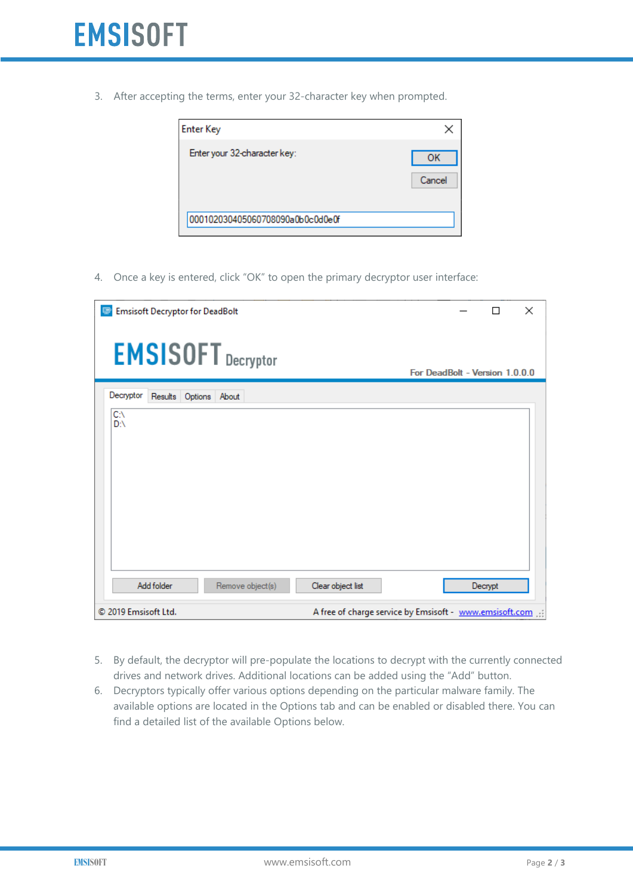3. After accepting the terms, enter your 32-character key when prompted.

| <b>Enter Key</b>                 |              |
|----------------------------------|--------------|
| Enter your 32-character key:     | OK<br>Cancel |
| 000102030405060708090a0b0c0d0e0f |              |

4. Once a key is entered, click "OK" to open the primary decryptor user interface:

| <b>Emsisoft Decryptor for DeadBolt</b><br>c | ×<br>П                                                  |
|---------------------------------------------|---------------------------------------------------------|
| <b>EMSISOFT</b> Decryptor                   | For DeadBolt - Version 1.0.0.0                          |
| Decryptor<br>Results<br>Options About       |                                                         |
| СA<br>D:\                                   |                                                         |
| Remove object(s)<br>Add folder              | Clear object list<br>Decrypt                            |
| © 2019 Emsisoft Ltd.                        | A free of charge service by Emsisoft - www.emsisoft.com |

- 5. By default, the decryptor will pre-populate the locations to decrypt with the currently connected drives and network drives. Additional locations can be added using the "Add" button.
- 6. Decryptors typically offer various options depending on the particular malware family. The available options are located in the Options tab and can be enabled or disabled there. You can find a detailed list of the available Options below.